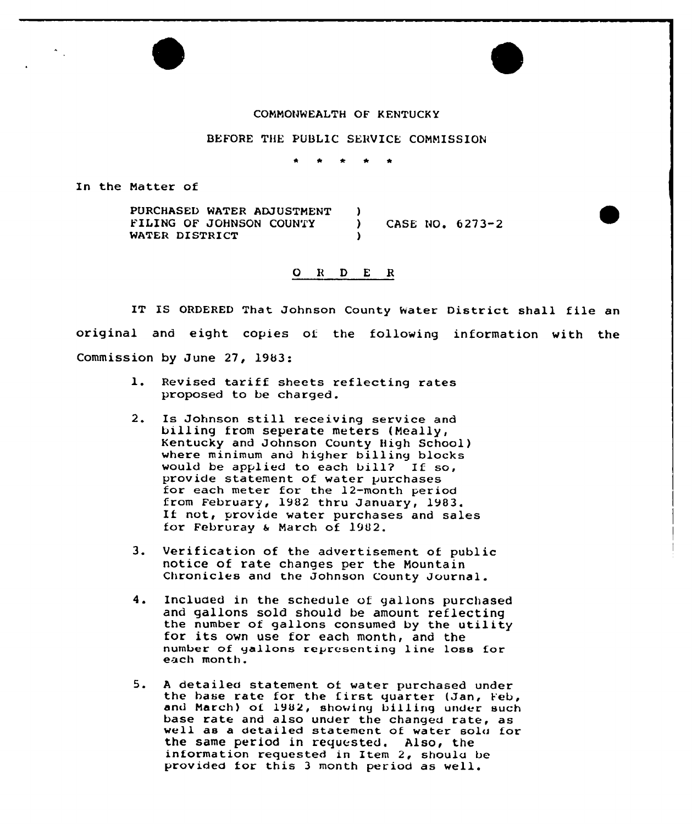## COMMONWEALTH OF KENTUCKY

## BEFORE THE PUBLIC SERVICE COMMISSION

 $\bullet$ 

In the Natter of

PURCHASED WATER ADJUSTMENT )<br>FILING OF JOHNSON COUNTY ) FILING OF JOHNSON COUNTY ) CASE NO. 6273-2 WATER DISTRICT

## 0 <sup>R</sup> <sup>D</sup> E R

original and eight copies of the following information with the IT IS ORDERED That Johnson County Water District shall file an Commission by June 27, 1983:

- 1. Revised tariff sheets reflecting rates proposed to be charged.
- Is Johnson still receiving service and billing from seperate meters (Neally, Kentucky and Johnson County High School) where minimum and higher billing blocks would be applied to each bill? If so,<br>provide statement of water purchases for each meter for the 12-month period from February, <sup>1982</sup> thru January, 1983. If not, provide water purchases and sales for Februray <sup>a</sup> March of 1902.
- 3. Verification of the advertisement of public notice of rate changes per the Mountain Chronicles and the Johnson County Journal.
- 4. Included in the schedule of gallons purchased and gallons sold should be amount reflecting the number of gallons consumed by the utility for its own use for each month, and the number of gallons representing line loss for<br>each month.
- 5. A detailed statement of water purchased under<br>the hase rate for the first quarter (Jan, Feb, and March) of 1982, showing billing under such base rate and also under the changed rate, as well as <sup>a</sup> detailed statement of water solo for the same period in requested. Also, the information requested in Item 2, shoulu be provided for this <sup>3</sup> month period as well.